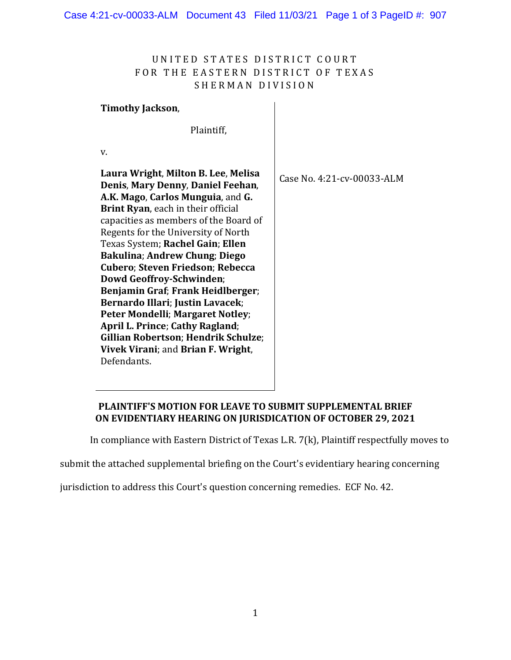# UNITED STATES DISTRICT COURT FOR THE EASTERN DISTRICT OF TEXAS SHERMAN DIVISION

## **Timothy Jackson**,

Plaintiff,

v.

**Laura Wright**, **Milton B. Lee**, **Melisa Denis**, **Mary Denny**, **Daniel Feehan**, **A.K. Mago**, **Carlos Munguia**, and **G. Brint Ryan**, each in their official capacities as members of the Board of Regents for the University of North Texas System; **Rachel Gain**; **Ellen Bakulina**; **Andrew Chung**; **Diego Cubero**; **Steven Friedson**; **Rebecca Dowd Geoffroy-Schwinden**; **Benjamin Graf**; **Frank Heidlberger**; **Bernardo Illari**; **Justin Lavacek**; **Peter Mondelli**; **Margaret Notley**; **April L. Prince**; **Cathy Ragland**; **Gillian Robertson**; **Hendrik Schulze**; **Vivek Virani**; and **Brian F. Wright**, Defendants. Case No. 4:21-cv-00033-ALM

# **PLAINTIFF'S MOTION FOR LEAVE TO SUBMIT SUPPLEMENTAL BRIEF ON EVIDENTIARY HEARING ON JURISDICATION OF OCTOBER 29, 2021**

In compliance with Eastern District of Texas L.R. 7(k), Plaintiff respectfully moves to

submit the attached supplemental briefing on the Court's evidentiary hearing concerning

jurisdiction to address this Court's question concerning remedies. ECF No. 42.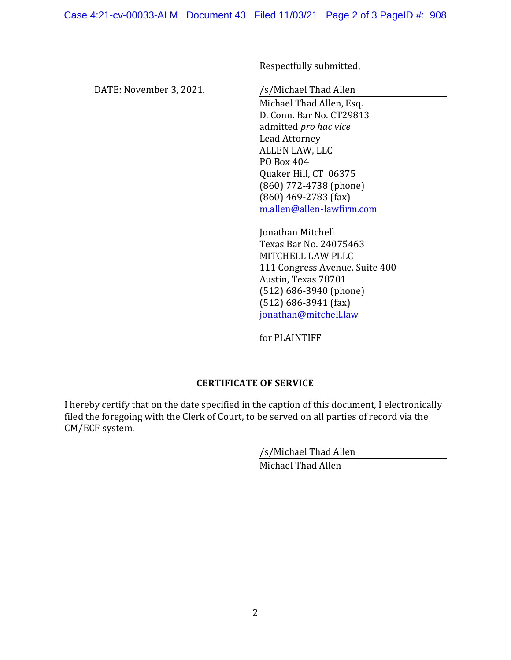Respectfully submitted,

DATE: November 3, 2021.

/s/Michael Thad Allen

Michael Thad Allen, Esq. D. Conn. Bar No. CT29813 admitted *pro hac vice*  Lead Attorney ALLEN LAW, LLC PO Box 404 Quaker Hill, CT 06375 (860) 772-4738 (phone) (860) 469-2783 (fax) m.allen@allen-lawfirm.com

Jonathan Mitchell Texas Bar No. 24075463 MITCHELL LAW PLLC 111 Congress Avenue, Suite 400 Austin, Texas 78701 (512) 686-3940 (phone) (512) 686-3941 (fax) jonathan@mitchell.law

for PLAINTIFF

#### **CERTIFICATE OF SERVICE**

I hereby certify that on the date specified in the caption of this document, I electronically filed the foregoing with the Clerk of Court, to be served on all parties of record via the CM/ECF system.

/s/Michael Thad Allen

Michael Thad Allen